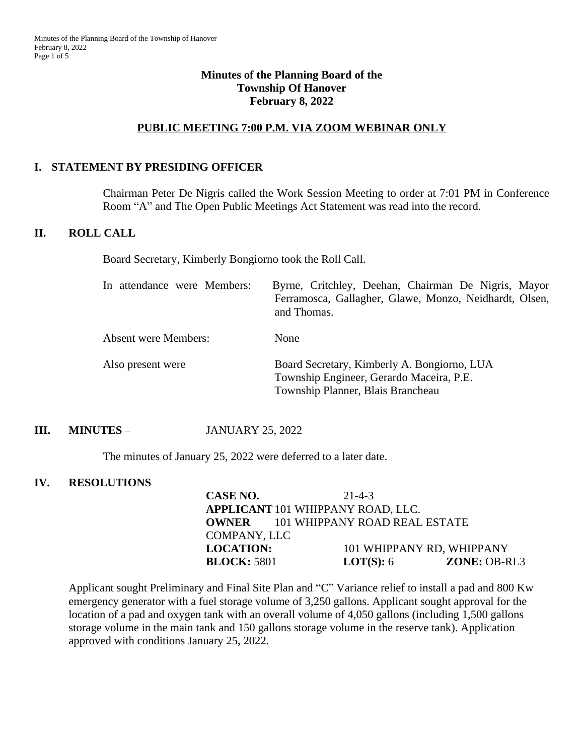## **Minutes of the Planning Board of the Township Of Hanover February 8, 2022**

### **PUBLIC MEETING 7:00 P.M. VIA ZOOM WEBINAR ONLY**

### **I. STATEMENT BY PRESIDING OFFICER**

Chairman Peter De Nigris called the Work Session Meeting to order at 7:01 PM in Conference Room "A" and The Open Public Meetings Act Statement was read into the record.

### **II. ROLL CALL**

Board Secretary, Kimberly Bongiorno took the Roll Call.

| In attendance were Members: | Byrne, Critchley, Deehan, Chairman De Nigris, Mayor<br>Ferramosca, Gallagher, Glawe, Monzo, Neidhardt, Olsen,<br>and Thomas. |
|-----------------------------|------------------------------------------------------------------------------------------------------------------------------|
| <b>Absent were Members:</b> | <b>None</b>                                                                                                                  |
| Also present were           | Board Secretary, Kimberly A. Bongiorno, LUA<br>Township Engineer, Gerardo Maceira, P.E.<br>Township Planner, Blais Brancheau |

## **III. MINUTES** – JANUARY 25, 2022

The minutes of January 25, 2022 were deferred to a later date.

#### **IV. RESOLUTIONS**

| CASE NO.            | $21 - 4 - 3$                               |                |
|---------------------|--------------------------------------------|----------------|
|                     | <b>APPLICANT 101 WHIPPANY ROAD, LLC.</b>   |                |
|                     | <b>OWNER</b> 101 WHIPPANY ROAD REAL ESTATE |                |
| <b>COMPANY, LLC</b> |                                            |                |
| <b>LOCATION:</b>    | 101 WHIPPANY RD, WHIPPANY                  |                |
| <b>BLOCK: 5801</b>  | <b>LOT(S):</b> $6$                         | $ZONE: OB-RL3$ |

Applicant sought Preliminary and Final Site Plan and "C" Variance relief to install a pad and 800 Kw emergency generator with a fuel storage volume of 3,250 gallons. Applicant sought approval for the location of a pad and oxygen tank with an overall volume of 4,050 gallons (including 1,500 gallons storage volume in the main tank and 150 gallons storage volume in the reserve tank). Application approved with conditions January 25, 2022.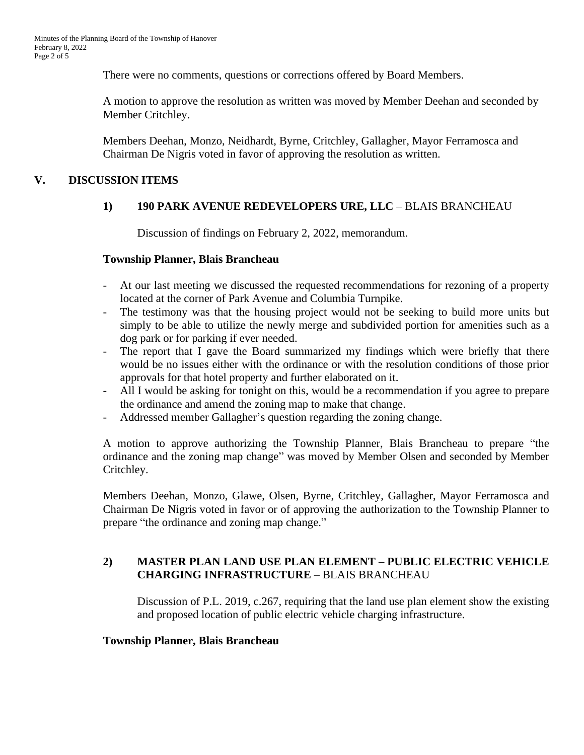There were no comments, questions or corrections offered by Board Members.

A motion to approve the resolution as written was moved by Member Deehan and seconded by Member Critchley.

Members Deehan, Monzo, Neidhardt, Byrne, Critchley, Gallagher, Mayor Ferramosca and Chairman De Nigris voted in favor of approving the resolution as written.

## **V. DISCUSSION ITEMS**

## **1) 190 PARK AVENUE REDEVELOPERS URE, LLC** – BLAIS BRANCHEAU

Discussion of findings on February 2, 2022, memorandum.

### **Township Planner, Blais Brancheau**

- At our last meeting we discussed the requested recommendations for rezoning of a property located at the corner of Park Avenue and Columbia Turnpike.
- The testimony was that the housing project would not be seeking to build more units but simply to be able to utilize the newly merge and subdivided portion for amenities such as a dog park or for parking if ever needed.
- The report that I gave the Board summarized my findings which were briefly that there would be no issues either with the ordinance or with the resolution conditions of those prior approvals for that hotel property and further elaborated on it.
- All I would be asking for tonight on this, would be a recommendation if you agree to prepare the ordinance and amend the zoning map to make that change.
- Addressed member Gallagher's question regarding the zoning change.

A motion to approve authorizing the Township Planner, Blais Brancheau to prepare "the ordinance and the zoning map change" was moved by Member Olsen and seconded by Member Critchley.

Members Deehan, Monzo, Glawe, Olsen, Byrne, Critchley, Gallagher, Mayor Ferramosca and Chairman De Nigris voted in favor or of approving the authorization to the Township Planner to prepare "the ordinance and zoning map change."

# **2) MASTER PLAN LAND USE PLAN ELEMENT – PUBLIC ELECTRIC VEHICLE CHARGING INFRASTRUCTURE** – BLAIS BRANCHEAU

Discussion of P.L. 2019, c.267, requiring that the land use plan element show the existing and proposed location of public electric vehicle charging infrastructure.

### **Township Planner, Blais Brancheau**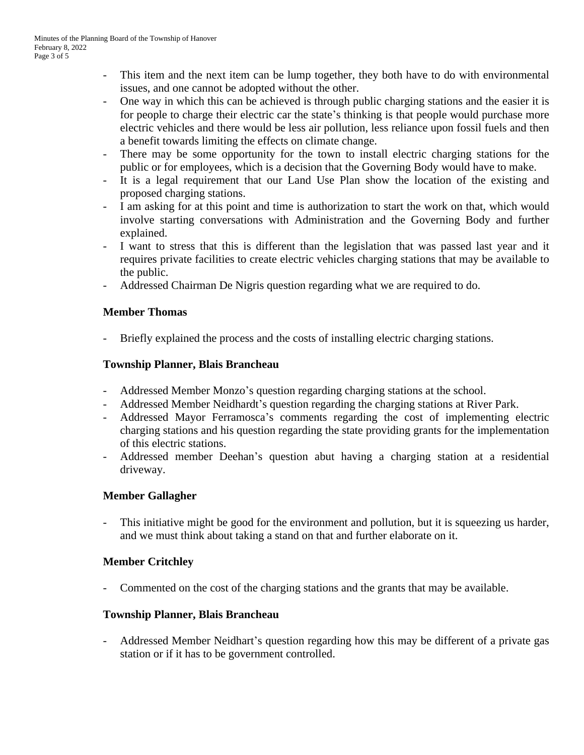- This item and the next item can be lump together, they both have to do with environmental issues, and one cannot be adopted without the other.
- One way in which this can be achieved is through public charging stations and the easier it is for people to charge their electric car the state's thinking is that people would purchase more electric vehicles and there would be less air pollution, less reliance upon fossil fuels and then a benefit towards limiting the effects on climate change.
- There may be some opportunity for the town to install electric charging stations for the public or for employees, which is a decision that the Governing Body would have to make.
- It is a legal requirement that our Land Use Plan show the location of the existing and proposed charging stations.
- I am asking for at this point and time is authorization to start the work on that, which would involve starting conversations with Administration and the Governing Body and further explained.
- I want to stress that this is different than the legislation that was passed last year and it requires private facilities to create electric vehicles charging stations that may be available to the public.
- Addressed Chairman De Nigris question regarding what we are required to do.

## **Member Thomas**

- Briefly explained the process and the costs of installing electric charging stations.

## **Township Planner, Blais Brancheau**

- Addressed Member Monzo's question regarding charging stations at the school.
- Addressed Member Neidhardt's question regarding the charging stations at River Park.
- Addressed Mayor Ferramosca's comments regarding the cost of implementing electric charging stations and his question regarding the state providing grants for the implementation of this electric stations.
- Addressed member Deehan's question abut having a charging station at a residential driveway.

## **Member Gallagher**

This initiative might be good for the environment and pollution, but it is squeezing us harder, and we must think about taking a stand on that and further elaborate on it.

## **Member Critchley**

- Commented on the cost of the charging stations and the grants that may be available.

### **Township Planner, Blais Brancheau**

- Addressed Member Neidhart's question regarding how this may be different of a private gas station or if it has to be government controlled.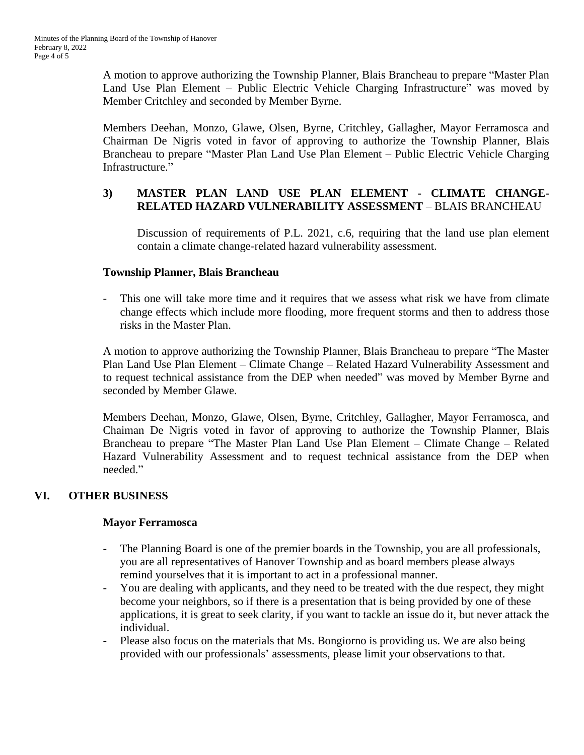A motion to approve authorizing the Township Planner, Blais Brancheau to prepare "Master Plan Land Use Plan Element – Public Electric Vehicle Charging Infrastructure" was moved by Member Critchley and seconded by Member Byrne.

Members Deehan, Monzo, Glawe, Olsen, Byrne, Critchley, Gallagher, Mayor Ferramosca and Chairman De Nigris voted in favor of approving to authorize the Township Planner, Blais Brancheau to prepare "Master Plan Land Use Plan Element – Public Electric Vehicle Charging Infrastructure."

## **3) MASTER PLAN LAND USE PLAN ELEMENT - CLIMATE CHANGE-RELATED HAZARD VULNERABILITY ASSESSMENT** – BLAIS BRANCHEAU

Discussion of requirements of P.L. 2021, c.6, requiring that the land use plan element contain a climate change-related hazard vulnerability assessment.

## **Township Planner, Blais Brancheau**

This one will take more time and it requires that we assess what risk we have from climate change effects which include more flooding, more frequent storms and then to address those risks in the Master Plan.

A motion to approve authorizing the Township Planner, Blais Brancheau to prepare "The Master Plan Land Use Plan Element – Climate Change – Related Hazard Vulnerability Assessment and to request technical assistance from the DEP when needed" was moved by Member Byrne and seconded by Member Glawe.

Members Deehan, Monzo, Glawe, Olsen, Byrne, Critchley, Gallagher, Mayor Ferramosca, and Chaiman De Nigris voted in favor of approving to authorize the Township Planner, Blais Brancheau to prepare "The Master Plan Land Use Plan Element – Climate Change – Related Hazard Vulnerability Assessment and to request technical assistance from the DEP when needed."

## **VI. OTHER BUSINESS**

## **Mayor Ferramosca**

- The Planning Board is one of the premier boards in the Township, you are all professionals, you are all representatives of Hanover Township and as board members please always remind yourselves that it is important to act in a professional manner.
- You are dealing with applicants, and they need to be treated with the due respect, they might become your neighbors, so if there is a presentation that is being provided by one of these applications, it is great to seek clarity, if you want to tackle an issue do it, but never attack the individual.
- Please also focus on the materials that Ms. Bongiorno is providing us. We are also being provided with our professionals' assessments, please limit your observations to that.